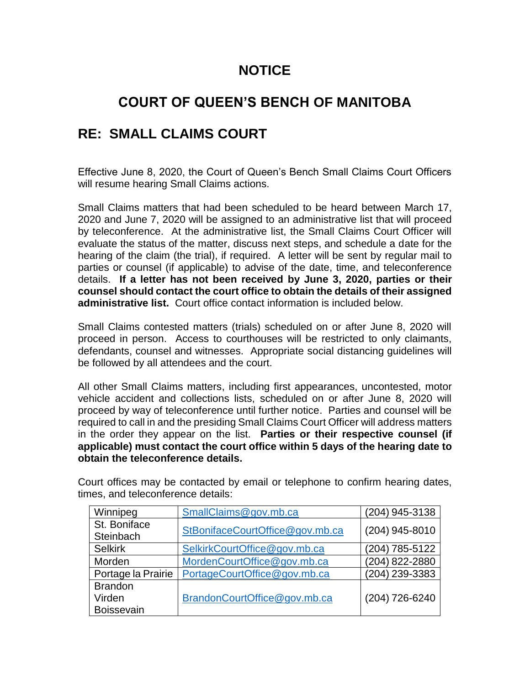## **NOTICE**

## **COURT OF QUEEN'S BENCH OF MANITOBA**

## **RE: SMALL CLAIMS COURT**

Effective June 8, 2020, the Court of Queen's Bench Small Claims Court Officers will resume hearing Small Claims actions.

Small Claims matters that had been scheduled to be heard between March 17, 2020 and June 7, 2020 will be assigned to an administrative list that will proceed by teleconference. At the administrative list, the Small Claims Court Officer will evaluate the status of the matter, discuss next steps, and schedule a date for the hearing of the claim (the trial), if required. A letter will be sent by regular mail to parties or counsel (if applicable) to advise of the date, time, and teleconference details. **If a letter has not been received by June 3, 2020, parties or their counsel should contact the court office to obtain the details of their assigned administrative list.** Court office contact information is included below.

Small Claims contested matters (trials) scheduled on or after June 8, 2020 will proceed in person. Access to courthouses will be restricted to only claimants, defendants, counsel and witnesses. Appropriate social distancing guidelines will be followed by all attendees and the court.

All other Small Claims matters, including first appearances, uncontested, motor vehicle accident and collections lists, scheduled on or after June 8, 2020 will proceed by way of teleconference until further notice. Parties and counsel will be required to call in and the presiding Small Claims Court Officer will address matters in the order they appear on the list. **Parties or their respective counsel (if applicable) must contact the court office within 5 days of the hearing date to obtain the teleconference details.**

| Winnipeg           | SmallClaims@gov.mb.ca           | (204) 945-3138   |
|--------------------|---------------------------------|------------------|
|                    |                                 |                  |
| St. Boniface       |                                 |                  |
| Steinbach          | StBonifaceCourtOffice@gov.mb.ca | $(204)$ 945-8010 |
| <b>Selkirk</b>     | SelkirkCourtOffice@gov.mb.ca    | (204) 785-5122   |
| Morden             | MordenCourtOffice@gov.mb.ca     | (204) 822-2880   |
| Portage la Prairie | PortageCourtOffice@gov.mb.ca    | (204) 239-3383   |
| <b>Brandon</b>     |                                 |                  |
| Virden             | BrandonCourtOffice@gov.mb.ca    | (204) 726-6240   |
| <b>Boissevain</b>  |                                 |                  |

Court offices may be contacted by email or telephone to confirm hearing dates, times, and teleconference details: